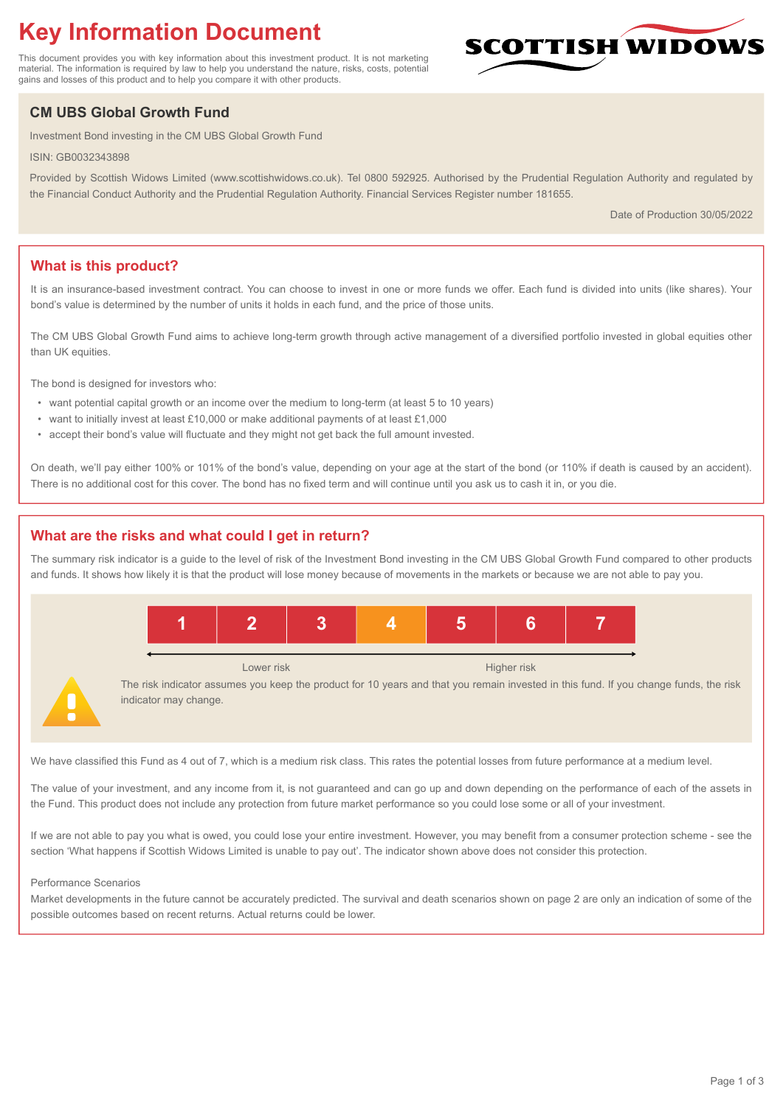# **Key Information Document**

This document provides you with key information about this investment product. It is not marketing material. The information is required by law to help you understand the nature, risks, costs, potential gains and losses of this product and to help you compare it with other products.

# **CM UBS Global Growth Fund**

Investment Bond investing in the CM UBS Global Growth Fund

ISIN: GB0032343898

Provided by Scottish Widows Limited (www.scottishwidows.co.uk). Tel 0800 592925. Authorised by the Prudential Regulation Authority and regulated by the Financial Conduct Authority and the Prudential Regulation Authority. Financial Services Register number 181655.

Date of Production 30/05/2022

**SCOTTISH WIDOW** 

# **What is this product?**

It is an insurance-based investment contract. You can choose to invest in one or more funds we offer. Each fund is divided into units (like shares). Your bond's value is determined by the number of units it holds in each fund, and the price of those units.

The CM UBS Global Growth Fund aims to achieve long-term growth through active management of a diversified portfolio invested in global equities other than UK equities.

The bond is designed for investors who:

- want potential capital growth or an income over the medium to long-term (at least 5 to 10 years)
- want to initially invest at least £10,000 or make additional payments of at least £1,000
- accept their bond's value will fluctuate and they might not get back the full amount invested.

On death, we'll pay either 100% or 101% of the bond's value, depending on your age at the start of the bond (or 110% if death is caused by an accident). There is no additional cost for this cover. The bond has no fixed term and will continue until you ask us to cash it in, or you die.

# **What are the risks and what could I get in return?**

The summary risk indicator is a guide to the level of risk of the Investment Bond investing in the CM UBS Global Growth Fund compared to other products and funds. It shows how likely it is that the product will lose money because of movements in the markets or because we are not able to pay you.



We have classified this Fund as 4 out of 7, which is a medium risk class. This rates the potential losses from future performance at a medium level.

The value of your investment, and any income from it, is not guaranteed and can go up and down depending on the performance of each of the assets in the Fund. This product does not include any protection from future market performance so you could lose some or all of your investment.

If we are not able to pay you what is owed, you could lose your entire investment. However, you may benefit from a consumer protection scheme - see the section 'What happens if Scottish Widows Limited is unable to pay out'. The indicator shown above does not consider this protection.

#### Performance Scenarios

Market developments in the future cannot be accurately predicted. The survival and death scenarios shown on page 2 are only an indication of some of the possible outcomes based on recent returns. Actual returns could be lower.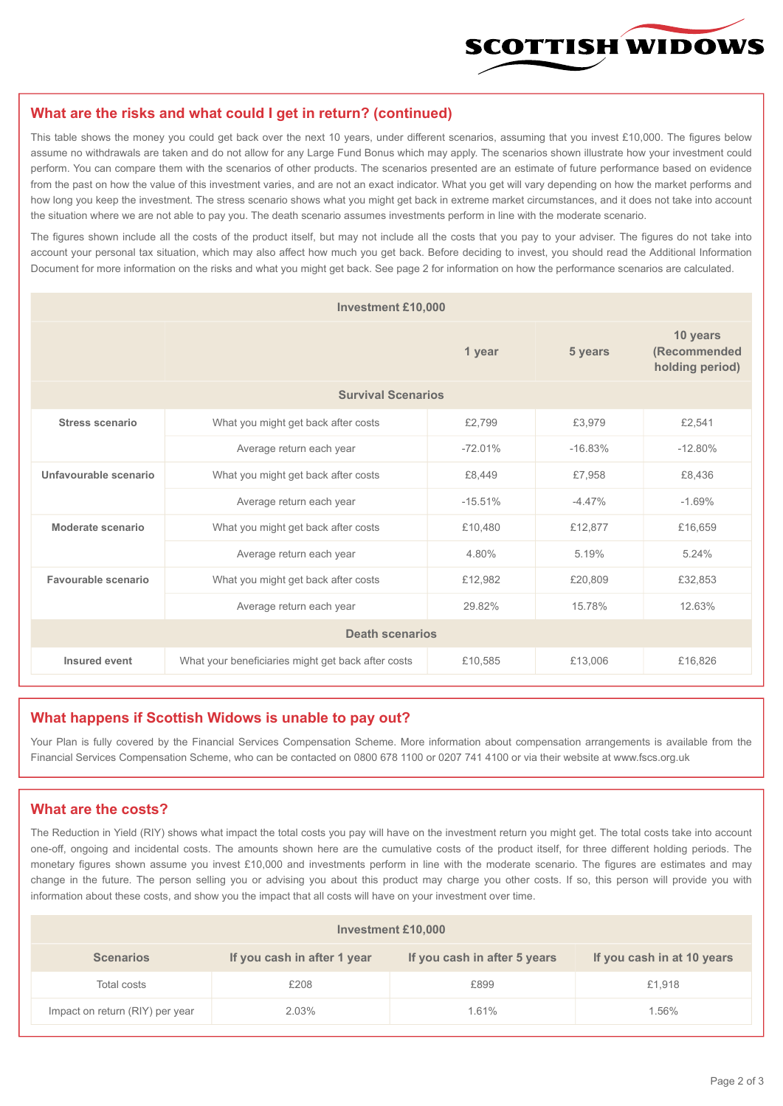

#### **What are the risks and what could I get in return? (continued)**

This table shows the money you could get back over the next 10 years, under different scenarios, assuming that you invest £10,000. The figures below assume no withdrawals are taken and do not allow for any Large Fund Bonus which may apply. The scenarios shown illustrate how your investment could perform. You can compare them with the scenarios of other products. The scenarios presented are an estimate of future performance based on evidence from the past on how the value of this investment varies, and are not an exact indicator. What you get will vary depending on how the market performs and how long you keep the investment. The stress scenario shows what you might get back in extreme market circumstances, and it does not take into account the situation where we are not able to pay you. The death scenario assumes investments perform in line with the moderate scenario.

The figures shown include all the costs of the product itself, but may not include all the costs that you pay to your adviser. The figures do not take into account your personal tax situation, which may also affect how much you get back. Before deciding to invest, you should read the Additional Information Document for more information on the risks and what you might get back. See page 2 for information on how the performance scenarios are calculated.

| <b>Investment £10,000</b> |                                                    |           |                                             |           |  |  |
|---------------------------|----------------------------------------------------|-----------|---------------------------------------------|-----------|--|--|
|                           |                                                    | 5 years   | 10 years<br>(Recommended<br>holding period) |           |  |  |
| <b>Survival Scenarios</b> |                                                    |           |                                             |           |  |  |
| <b>Stress scenario</b>    | £2,799<br>What you might get back after costs      |           | £3,979                                      | £2,541    |  |  |
|                           | $-72.01%$<br>Average return each year              |           | $-16.83%$                                   | $-12.80%$ |  |  |
| Unfavourable scenario     | What you might get back after costs<br>£8,449      |           | £7,958                                      | £8,436    |  |  |
|                           | Average return each year                           | $-15.51%$ | $-4.47%$                                    | $-1.69%$  |  |  |
| Moderate scenario         | What you might get back after costs                | £10,480   | £12,877                                     | £16,659   |  |  |
|                           | Average return each year                           | 4.80%     | 5.19%                                       | 5.24%     |  |  |
| Favourable scenario       | What you might get back after costs                | £12,982   | £20,809                                     | £32,853   |  |  |
| Average return each year  |                                                    | 29.82%    | 15.78%                                      | 12.63%    |  |  |
| <b>Death scenarios</b>    |                                                    |           |                                             |           |  |  |
| Insured event             | What your beneficiaries might get back after costs | £10,585   | £13,006                                     | £16,826   |  |  |

#### **What happens if Scottish Widows is unable to pay out?**

Your Plan is fully covered by the Financial Services Compensation Scheme. More information about compensation arrangements is available from the Financial Services Compensation Scheme, who can be contacted on 0800 678 1100 or 0207 741 4100 or via their website at www.fscs.org.uk

# **What are the costs?**

The Reduction in Yield (RIY) shows what impact the total costs you pay will have on the investment return you might get. The total costs take into account one-off, ongoing and incidental costs. The amounts shown here are the cumulative costs of the product itself, for three different holding periods. The monetary figures shown assume you invest £10,000 and investments perform in line with the moderate scenario. The figures are estimates and may change in the future. The person selling you or advising you about this product may charge you other costs. If so, this person will provide you with information about these costs, and show you the impact that all costs will have on your investment over time.

| Investment £10,000              |                             |                              |                            |  |  |  |
|---------------------------------|-----------------------------|------------------------------|----------------------------|--|--|--|
| <b>Scenarios</b>                | If you cash in after 1 year | If you cash in after 5 years | If you cash in at 10 years |  |  |  |
| Total costs                     | £208                        | £899                         | £1,918                     |  |  |  |
| Impact on return (RIY) per year | 2.03%                       | 1.61%                        | 1.56%                      |  |  |  |